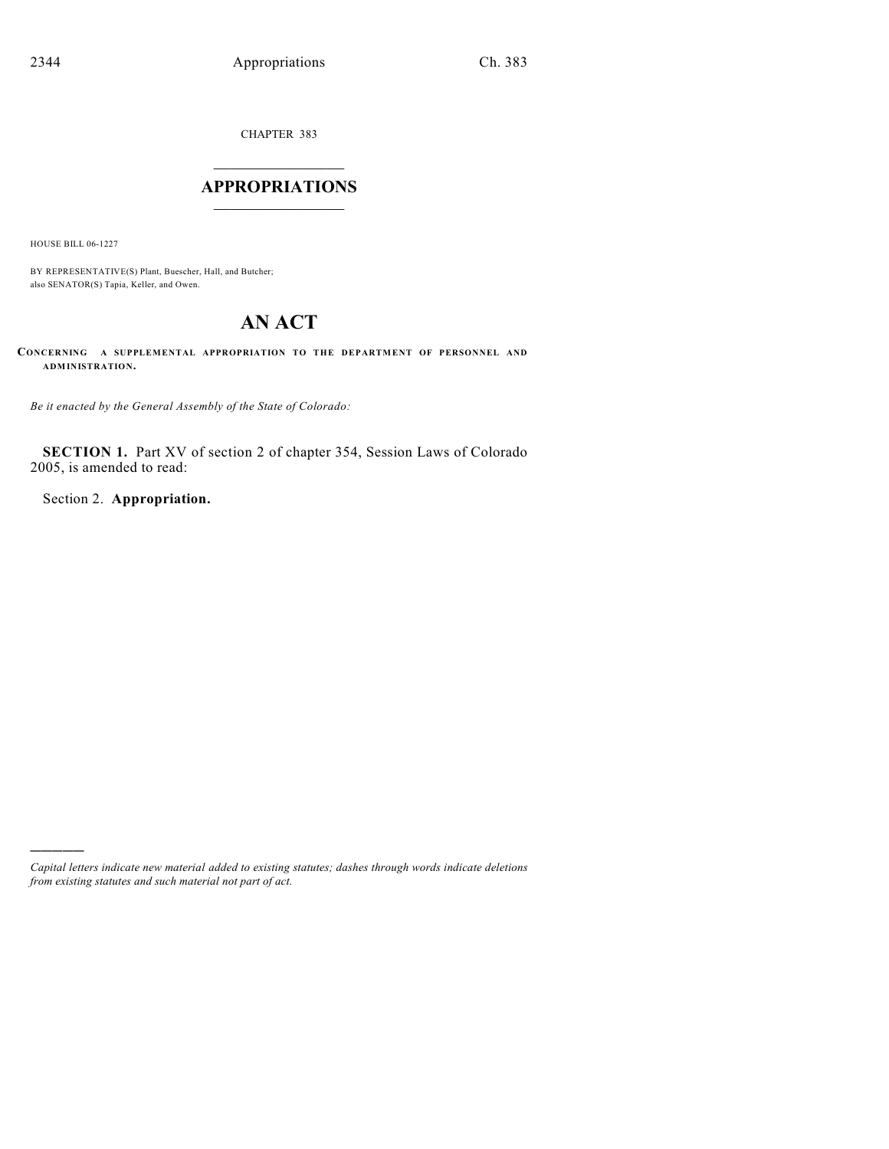CHAPTER 383

# $\mathcal{L}_\text{max}$  . The set of the set of the set of the set of the set of the set of the set of the set of the set of the set of the set of the set of the set of the set of the set of the set of the set of the set of the set **APPROPRIATIONS**  $\_$   $\_$   $\_$   $\_$   $\_$   $\_$   $\_$   $\_$

HOUSE BILL 06-1227

)))))

BY REPRESENTATIVE(S) Plant, Buescher, Hall, and Butcher; also SENATOR(S) Tapia, Keller, and Owen.

# **AN ACT**

**CONCERNING A SUPPLEMENTAL APPROPRIATION TO THE DEPARTMENT OF PERSONNEL AND ADMINISTRATION.**

*Be it enacted by the General Assembly of the State of Colorado:*

**SECTION 1.** Part XV of section 2 of chapter 354, Session Laws of Colorado 2005, is amended to read:

Section 2. **Appropriation.**

*Capital letters indicate new material added to existing statutes; dashes through words indicate deletions from existing statutes and such material not part of act.*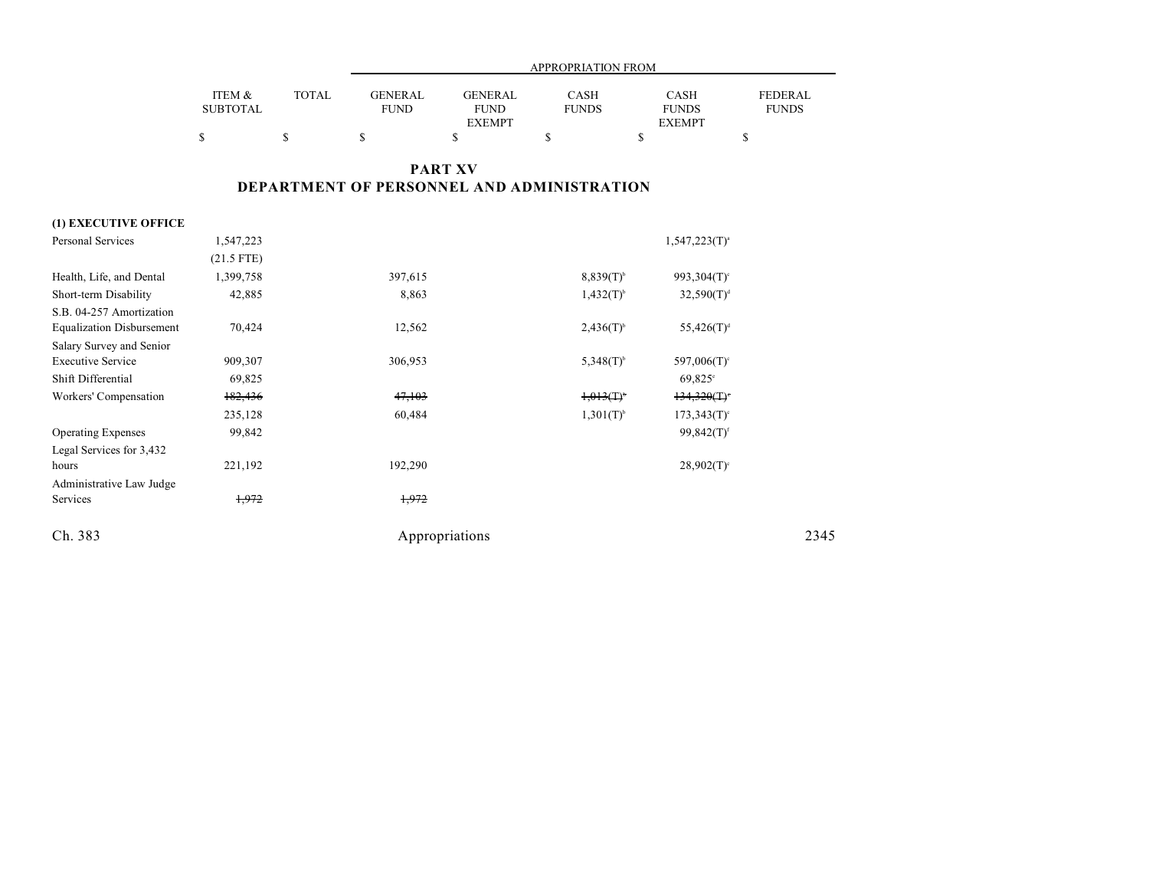|                 |       | APPROPRIATION FROM |                |              |               |              |  |  |
|-----------------|-------|--------------------|----------------|--------------|---------------|--------------|--|--|
|                 |       |                    |                |              |               |              |  |  |
| ITEM &          | TOTAL | GENERAL            | <b>GENERAL</b> | CASH         | <b>CASH</b>   | FEDERAL      |  |  |
| <b>SUBTOTAL</b> |       | FUND               | <b>FUND</b>    | <b>FUNDS</b> | <b>FUNDS</b>  | <b>FUNDS</b> |  |  |
|                 |       |                    | <b>EXEMPT</b>  |              | <b>EXEMPT</b> |              |  |  |
|                 |       |                    |                |              |               |              |  |  |

## **PART XV DEPARTMENT OF PERSONNEL AND ADMINISTRATION**

### **(1) EXECUTIVE OFFICE**

| <b>Personal Services</b>         | 1,547,223    |                |                         | $1,547,223(T)^{a}$       |      |
|----------------------------------|--------------|----------------|-------------------------|--------------------------|------|
|                                  | $(21.5$ FTE) |                |                         |                          |      |
| Health, Life, and Dental         | 1,399,758    | 397,615        | $8,839(T)^{6}$          | 993,304 $(T)^c$          |      |
| Short-term Disability            | 42,885       | 8,863          | $1,432(T)^{b}$          | $32,590(T)^{d}$          |      |
| S.B. 04-257 Amortization         |              |                |                         |                          |      |
| <b>Equalization Disbursement</b> | 70,424       | 12,562         | $2,436(T)$ <sup>b</sup> | $55,426(T)^d$            |      |
| Salary Survey and Senior         |              |                |                         |                          |      |
| <b>Executive Service</b>         | 909,307      | 306,953        | $5,348(T)^{b}$          | 597,006 $(T)^c$          |      |
| Shift Differential               | 69,825       |                |                         | $69,825^{\circ}$         |      |
| Workers' Compensation            | 182,436      | 47,103         | $1,013(1)^{6}$          | 134,320(T)               |      |
|                                  | 235,128      | 60,484         | $1,301(T)^{b}$          | $173,343(T)$ °           |      |
| <b>Operating Expenses</b>        | 99,842       |                |                         | $99,842(T)$ <sup>f</sup> |      |
| Legal Services for 3,432         |              |                |                         |                          |      |
| hours                            | 221,192      | 192,290        |                         | $28,902(T)$ <sup>c</sup> |      |
| Administrative Law Judge         |              |                |                         |                          |      |
| Services                         | 1,972        | 1,972          |                         |                          |      |
| Ch. 383                          |              | Appropriations |                         |                          | 2345 |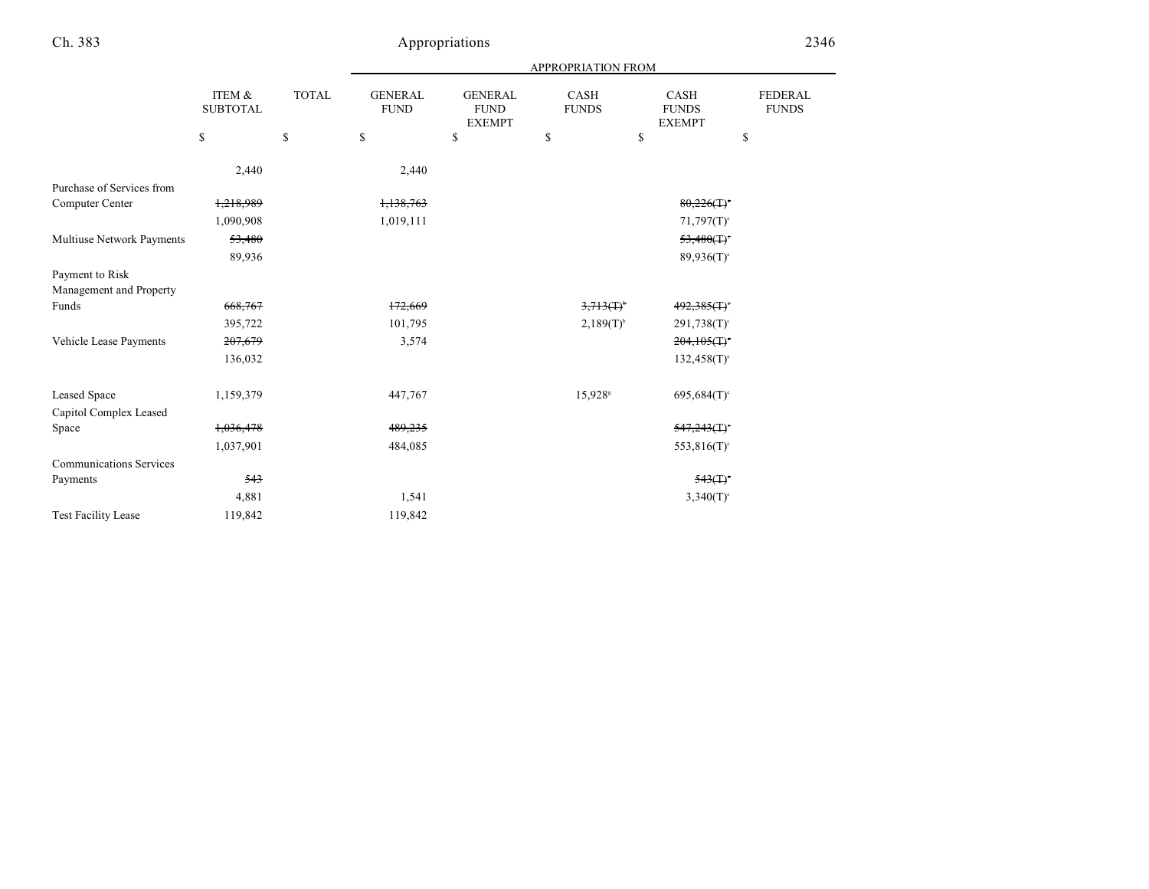|                                            |                           |               | <b>APPROPRIATION FROM</b>     |                                                |                          |                                       |                                |
|--------------------------------------------|---------------------------|---------------|-------------------------------|------------------------------------------------|--------------------------|---------------------------------------|--------------------------------|
|                                            | ITEM &<br><b>SUBTOTAL</b> | <b>TOTAL</b>  | <b>GENERAL</b><br><b>FUND</b> | <b>GENERAL</b><br><b>FUND</b><br><b>EXEMPT</b> | CASH<br><b>FUNDS</b>     | CASH<br><b>FUNDS</b><br><b>EXEMPT</b> | <b>FEDERAL</b><br><b>FUNDS</b> |
|                                            | \$                        | ${\mathbb S}$ | $\mathbb{S}$                  | \$                                             | \$                       | \$                                    | \$                             |
|                                            | 2,440                     |               | 2,440                         |                                                |                          |                                       |                                |
| Purchase of Services from                  |                           |               |                               |                                                |                          |                                       |                                |
| Computer Center                            | 1,218,989                 |               | 1,138,763                     |                                                |                          | $80,226($ T) <sup>c</sup>             |                                |
|                                            | 1,090,908                 |               | 1,019,111                     |                                                |                          | $71,797(T)$ <sup>c</sup>              |                                |
| Multiuse Network Payments                  | 53,480                    |               |                               |                                                |                          | 53,480(T)                             |                                |
|                                            | 89,936                    |               |                               |                                                |                          | $89,936(T)$ <sup>c</sup>              |                                |
| Payment to Risk<br>Management and Property |                           |               |                               |                                                |                          |                                       |                                |
| Funds                                      | 668,767                   |               | 172,669                       |                                                | $3,713($ T) <sup>b</sup> | $492,385$ (T) <sup>c</sup>            |                                |
|                                            | 395,722                   |               | 101,795                       |                                                | $2,189(T)^{6}$           | $291,738(T)$ <sup>c</sup>             |                                |
| Vehicle Lease Payments                     | 207,679                   |               | 3,574                         |                                                |                          | 204,105(T)                            |                                |
|                                            | 136,032                   |               |                               |                                                |                          | $132,458(T)$ <sup>c</sup>             |                                |
| <b>Leased Space</b>                        | 1,159,379                 |               | 447,767                       |                                                | 15,928 <sup>s</sup>      | $695,684(T)$ °                        |                                |
| Capitol Complex Leased                     |                           |               |                               |                                                |                          |                                       |                                |
| Space                                      | 1,036,478                 |               | 489,235                       |                                                |                          | $547,243($ T) <sup>c</sup>            |                                |
|                                            | 1,037,901                 |               | 484,085                       |                                                |                          | $553,816(T)$ °                        |                                |
| <b>Communications Services</b>             |                           |               |                               |                                                |                          |                                       |                                |
| Payments                                   | 543                       |               |                               |                                                |                          | 543(T)                                |                                |
|                                            | 4,881                     |               | 1,541                         |                                                |                          | $3,340(T)$ <sup>c</sup>               |                                |
| <b>Test Facility Lease</b>                 | 119,842                   |               | 119,842                       |                                                |                          |                                       |                                |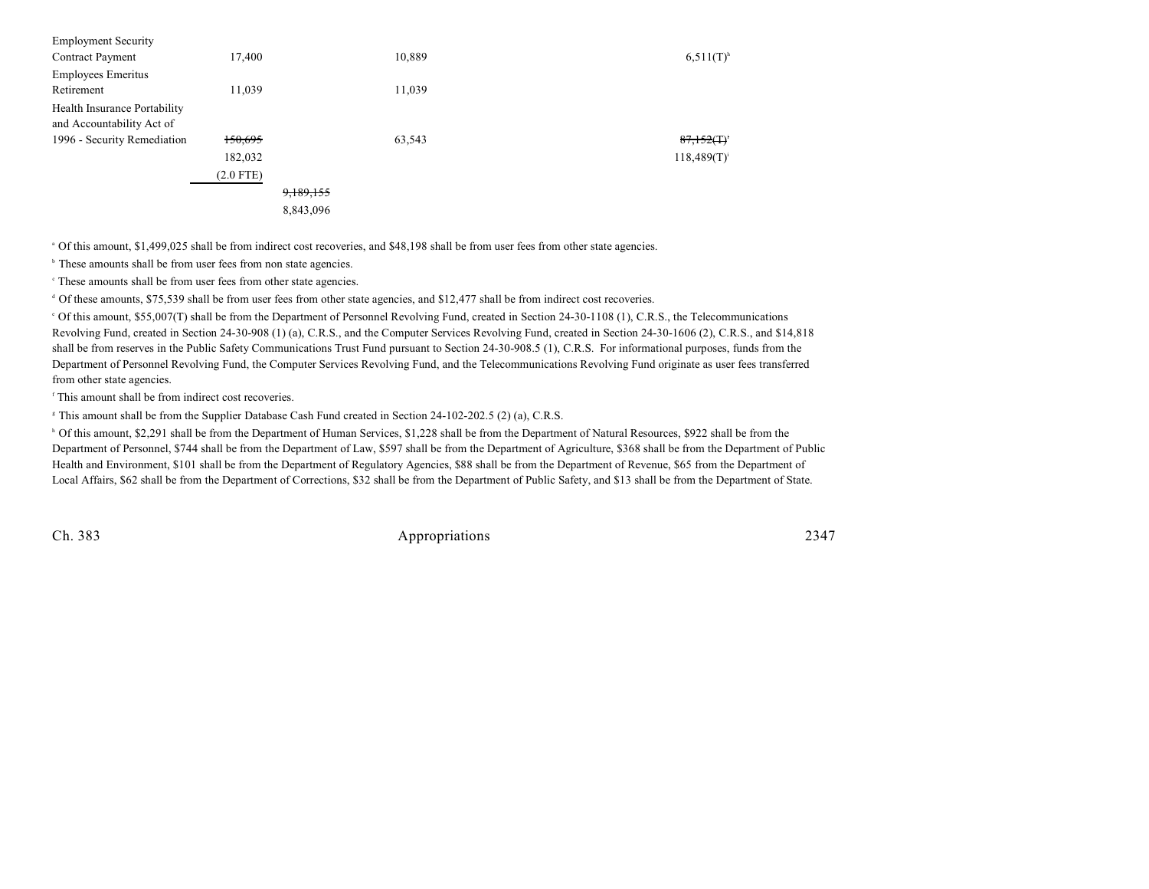| <b>Employment Security</b>   |             |           |        |                           |
|------------------------------|-------------|-----------|--------|---------------------------|
| <b>Contract Payment</b>      | 17,400      |           | 10,889 | $6,511(T)^{h}$            |
| <b>Employees Emeritus</b>    |             |           |        |                           |
| Retirement                   | 11,039      |           | 11,039 |                           |
| Health Insurance Portability |             |           |        |                           |
| and Accountability Act of    |             |           |        |                           |
| 1996 - Security Remediation  | 150,695     |           | 63,543 | $87,152($ T) <sup>*</sup> |
|                              | 182,032     |           |        | $118,489(T)^{i}$          |
|                              | $(2.0$ FTE) |           |        |                           |
|                              |             | 9,189,155 |        |                           |
|                              |             | 8,843,096 |        |                           |
|                              |             |           |        |                           |

<sup>a</sup> Of this amount, \$1,499,025 shall be from indirect cost recoveries, and \$48,198 shall be from user fees from other state agencies.

<sup>b</sup> These amounts shall be from user fees from non state agencies.

These amounts shall be from user fees from other state agencies. c

<sup>d</sup> Of these amounts, \$75,539 shall be from user fees from other state agencies, and \$12,477 shall be from indirect cost recoveries.

 Of this amount, \$55,007(T) shall be from the Department of Personnel Revolving Fund, created in Section 24-30-1108 (1), C.R.S., the Telecommunications <sup>e</sup> Revolving Fund, created in Section 24-30-908 (1) (a), C.R.S., and the Computer Services Revolving Fund, created in Section 24-30-1606 (2), C.R.S., and \$14,818 shall be from reserves in the Public Safety Communications Trust Fund pursuant to Section 24-30-908.5 (1), C.R.S. For informational purposes, funds from the Department of Personnel Revolving Fund, the Computer Services Revolving Fund, and the Telecommunications Revolving Fund originate as user fees transferred from other state agencies.

 $f$ This amount shall be from indirect cost recoveries.

<sup>8</sup> This amount shall be from the Supplier Database Cash Fund created in Section 24-102-202.5 (2) (a), C.R.S.

<sup>h</sup> Of this amount, \$2,291 shall be from the Department of Human Services, \$1,228 shall be from the Department of Natural Resources, \$922 shall be from the Department of Personnel, \$744 shall be from the Department of Law, \$597 shall be from the Department of Agriculture, \$368 shall be from the Department of Public Health and Environment, \$101 shall be from the Department of Regulatory Agencies, \$88 shall be from the Department of Revenue, \$65 from the Department of Local Affairs, \$62 shall be from the Department of Corrections, \$32 shall be from the Department of Public Safety, and \$13 shall be from the Department of State.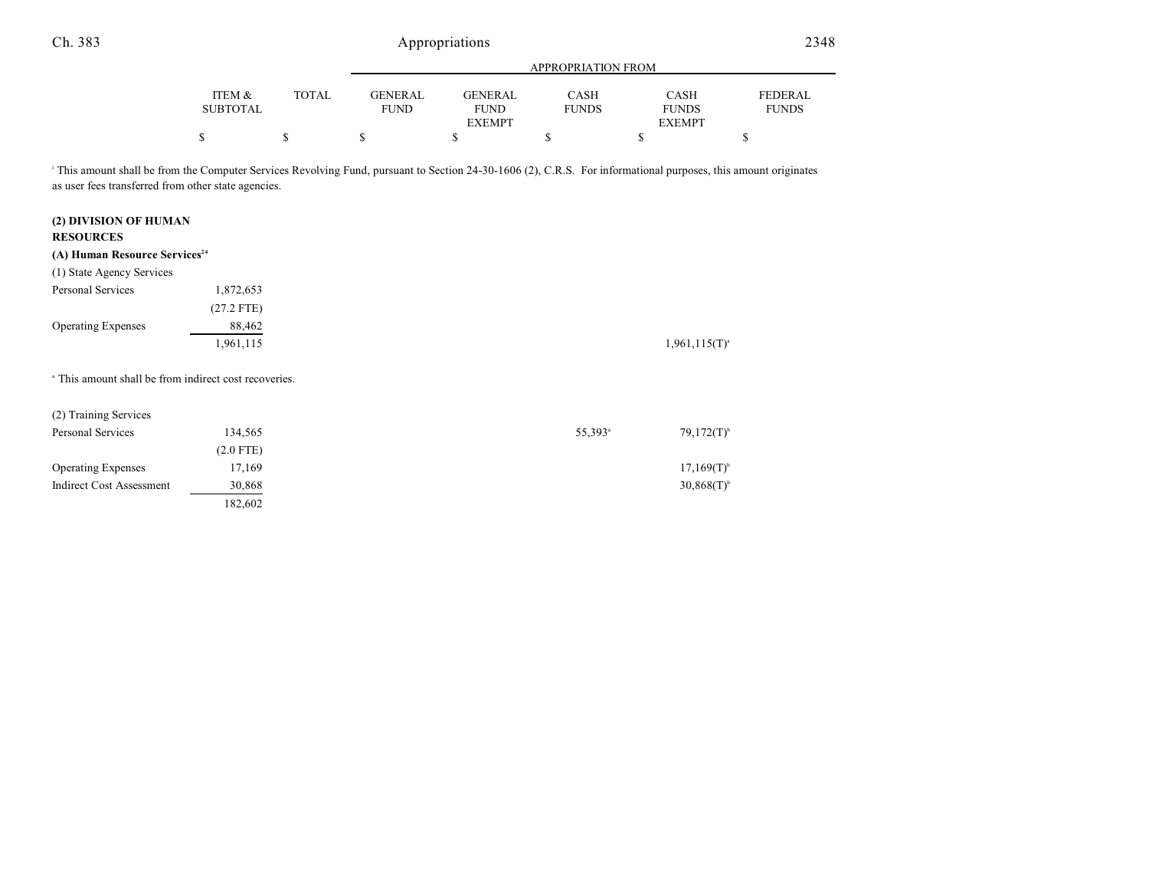|                 |              | APPROPRIATION FROM |                |              |               |                |  |
|-----------------|--------------|--------------------|----------------|--------------|---------------|----------------|--|
|                 |              |                    |                |              |               |                |  |
| ITEM &          | <b>TOTAL</b> | GENERAL            | <b>GENERAL</b> | <b>CASH</b>  | <b>CASH</b>   | <b>FEDERAL</b> |  |
| <b>SUBTOTAL</b> |              | <b>FUND</b>        | <b>FUND</b>    | <b>FUNDS</b> | <b>FUNDS</b>  | <b>FUNDS</b>   |  |
|                 |              |                    | <b>EXEMPT</b>  |              | <b>EXEMPT</b> |                |  |
| \$              |              |                    |                |              |               |                |  |

<sup>1</sup> This amount shall be from the Computer Services Revolving Fund, pursuant to Section 24-30-1606 (2), C.R.S. For informational purposes, this amount originates as user fees transferred from other state agencies.

### **(2) DIVISION OF HUMAN RESOURCES**

### **(A) Human Resource Services 24**

| (1) State Agency Services |              |
|---------------------------|--------------|
| Personal Services         | 1,872,653    |
|                           | $(27.2$ FTE) |
| <b>Operating Expenses</b> | 88,462       |
|                           | 1,961,115    |

<sup>a</sup> This amount shall be from indirect cost recoveries.

| 134.565     | $55,393$ <sup>a</sup> | $79,172(T)^{b}$ |
|-------------|-----------------------|-----------------|
| $(2.0$ FTE) |                       |                 |
| 17,169      |                       | $17,169(T)^{6}$ |
| 30,868      |                       | $30,868(T)^{6}$ |
| 182,602     |                       |                 |
|             |                       |                 |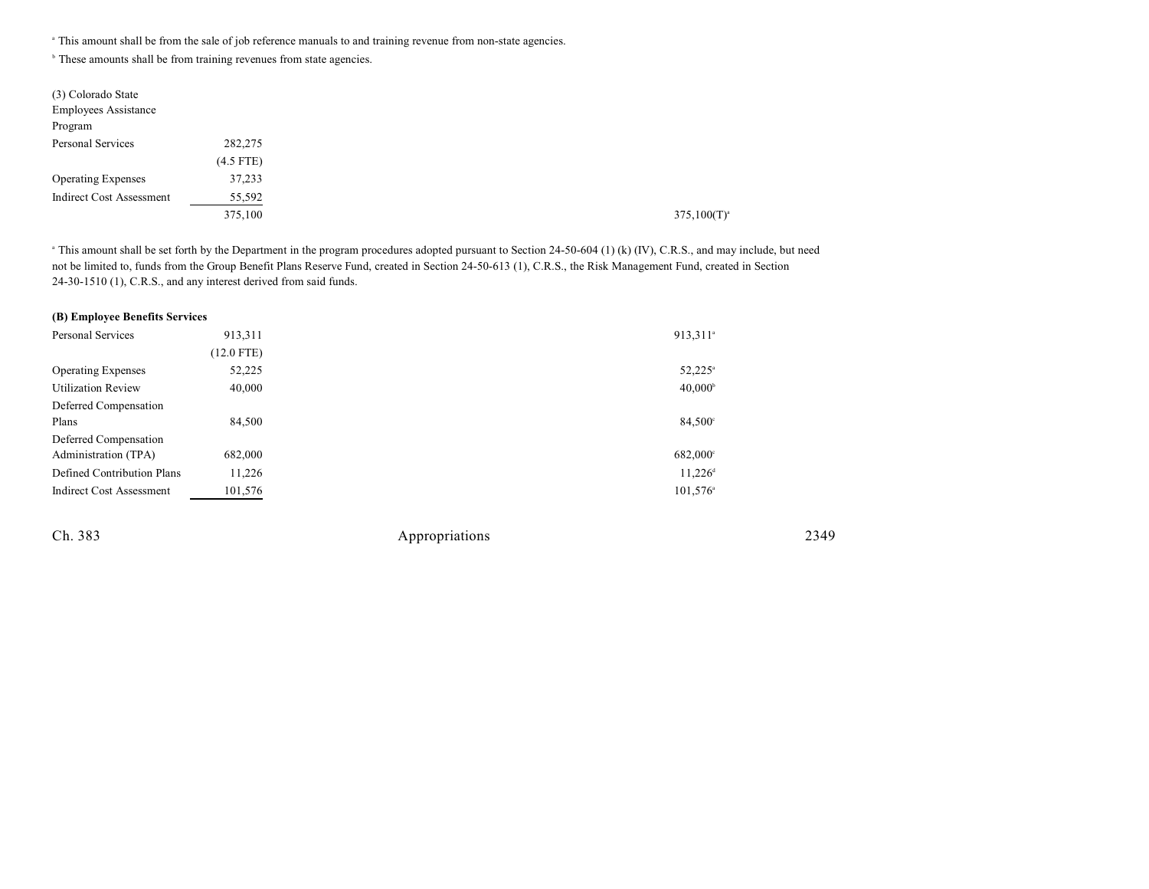<sup>a</sup> This amount shall be from the sale of job reference manuals to and training revenue from non-state agencies.

<sup>b</sup> These amounts shall be from training revenues from state agencies.

| (3) Colorado State<br><b>Employees Assistance</b> |             |  |
|---------------------------------------------------|-------------|--|
| Program                                           |             |  |
| Personal Services                                 | 282,275     |  |
|                                                   | $(4.5$ FTE) |  |
| <b>Operating Expenses</b>                         | 37,233      |  |
| <b>Indirect Cost Assessment</b>                   | 55,592      |  |
|                                                   | 375,100     |  |

<sup>a</sup> This amount shall be set forth by the Department in the program procedures adopted pursuant to Section 24-50-604 (1) (k) (IV), C.R.S., and may include, but need not be limited to, funds from the Group Benefit Plans Reserve Fund, created in Section 24-50-613 (1), C.R.S., the Risk Management Fund, created in Section 24-30-1510 (1), C.R.S., and any interest derived from said funds.

| 913,311      | 913,311 <sup>a</sup>           |
|--------------|--------------------------------|
| $(12.0$ FTE) |                                |
| 52,225       | $52,225^{\circ}$               |
| 40,000       | $40,000^{\circ}$               |
|              |                                |
| 84,500       | 84,500°                        |
|              |                                |
| 682,000      | 682,000°                       |
| 11,226       | $11,226$ <sup>d</sup>          |
| 101,576      | $101,576$ <sup>a</sup>         |
|              | (B) Employee Benefits Services |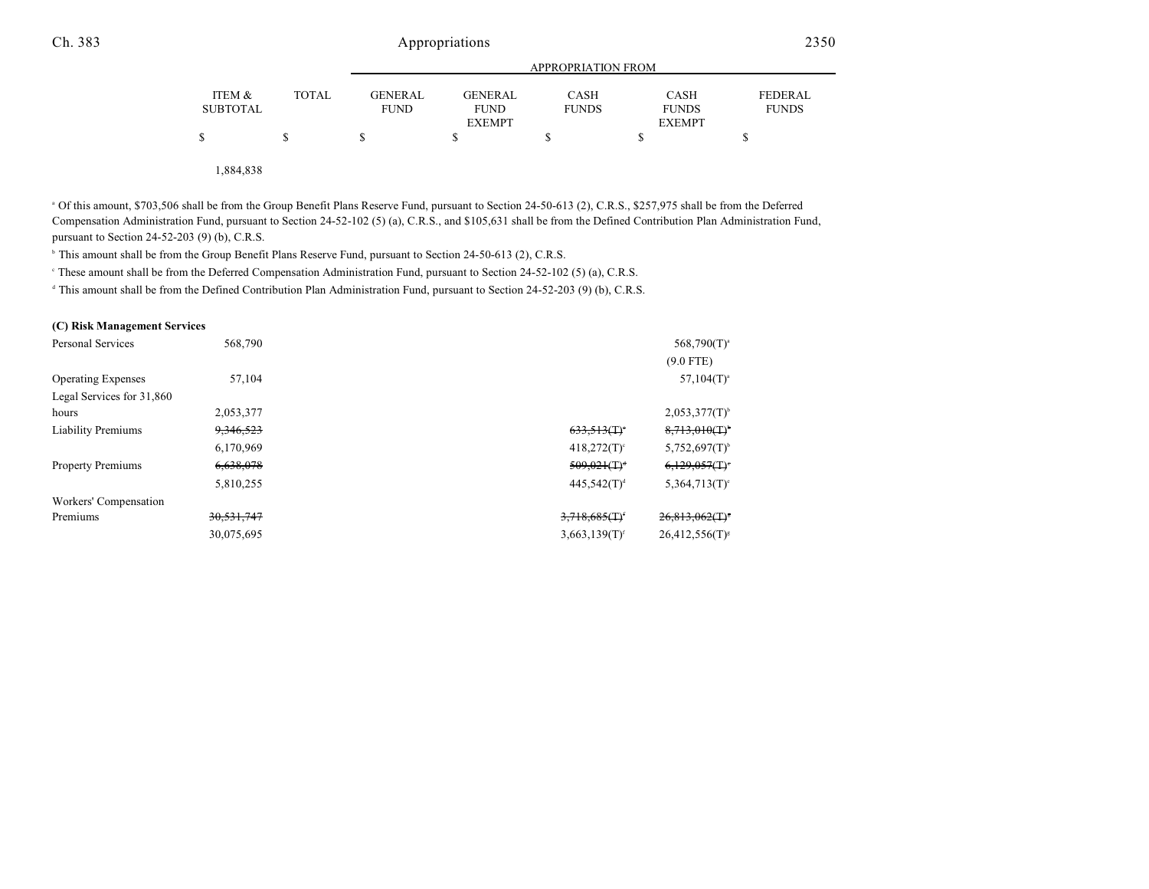|                           |              | APPROPRIATION FROM            |                               |                             |                             |                                |  |
|---------------------------|--------------|-------------------------------|-------------------------------|-----------------------------|-----------------------------|--------------------------------|--|
| ITEM &<br><b>SUBTOTAL</b> | <b>TOTAL</b> | <b>GENERAL</b><br><b>FUND</b> | <b>GENERAL</b><br><b>FUND</b> | <b>CASH</b><br><b>FUNDS</b> | <b>CASH</b><br><b>FUNDS</b> | <b>FEDERAL</b><br><b>FUNDS</b> |  |
|                           |              |                               | <b>EXEMPT</b>                 |                             | <b>EXEMPT</b>               |                                |  |
| \$                        |              |                               |                               |                             |                             |                                |  |
|                           |              |                               |                               |                             |                             |                                |  |

1,884,838

<sup>a</sup> Of this amount, \$703,506 shall be from the Group Benefit Plans Reserve Fund, pursuant to Section 24-50-613 (2), C.R.S., \$257,975 shall be from the Deferred Compensation Administration Fund, pursuant to Section 24-52-102 (5) (a), C.R.S., and \$105,631 shall be from the Defined Contribution Plan Administration Fund, pursuant to Section 24-52-203 (9) (b), C.R.S.

<sup>h</sup> This amount shall be from the Group Benefit Plans Reserve Fund, pursuant to Section 24-50-613 (2), C.R.S.

<sup>e</sup> These amount shall be from the Deferred Compensation Administration Fund, pursuant to Section 24-52-102 (5) (a), C.R.S.

 $\text{This amount shall be from the Defined Contribution Plan Administration Fund, pursuit to Section 24-52-203 (9) (b), C.R.S.}$ 

#### **(C) Risk Management Services**

| Personal Services         | 568,790    |                                               | $568,790(T)^{a}$                              |
|---------------------------|------------|-----------------------------------------------|-----------------------------------------------|
|                           |            |                                               | $(9.0$ FTE)                                   |
| <b>Operating Expenses</b> | 57.104     |                                               | $57,104(T)^{a}$                               |
| Legal Services for 31,860 |            |                                               |                                               |
| hours                     | 2,053,377  |                                               | $2,053,377(T)^{6}$                            |
| <b>Liability Premiums</b> | 9,346,523  | 633.513(T)                                    | 8,713,010(T)                                  |
|                           | 6,170,969  | $418,272(T)$ °                                | $5,752,697(T)^{6}$                            |
| <b>Property Premiums</b>  | 6,638,078  | $509,021($ T) <sup>d</sup>                    | $6,129,057$ (T) <sup><math>\circ</math></sup> |
|                           | 5,810,255  | $445.542(T)^d$                                | $5,364,713(T)$ °                              |
| Workers' Compensation     |            |                                               |                                               |
| Premiums                  | 30,531,747 | $3,718,685($ T) <sup><math>\cdot</math></sup> | $26,813,062($ T) <sup>s</sup>                 |
|                           | 30,075,695 | $3,663,139(T)^f$                              | $26,412,556(T)^s$                             |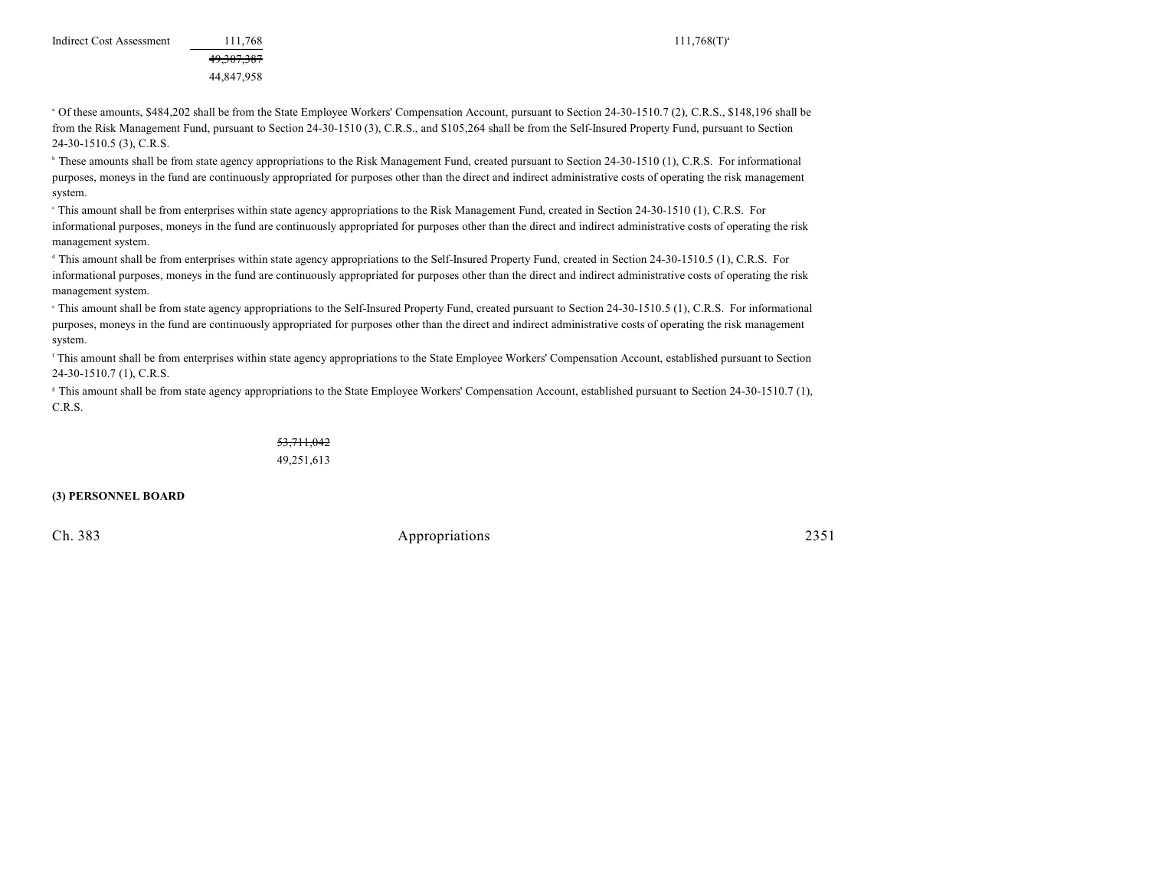49,307,387 44,847,958

<sup>a</sup> Of these amounts, \$484,202 shall be from the State Employee Workers' Compensation Account, pursuant to Section 24-30-1510.7 (2), C.R.S., \$148,196 shall be from the Risk Management Fund, pursuant to Section 24-30-1510 (3), C.R.S., and \$105,264 shall be from the Self-Insured Property Fund, pursuant to Section 24-30-1510.5 (3), C.R.S.

<sup>b</sup> These amounts shall be from state agency appropriations to the Risk Management Fund, created pursuant to Section 24-30-1510 (1), C.R.S. For informational purposes, moneys in the fund are continuously appropriated for purposes other than the direct and indirect administrative costs of operating the risk management system.

This amount shall be from enterprises within state agency appropriations to the Risk Management Fund, created in Section 24-30-1510 (1), C.R.S. For informational purposes, moneys in the fund are continuously appropriated for purposes other than the direct and indirect administrative costs of operating the risk management system.

<sup>d</sup> This amount shall be from enterprises within state agency appropriations to the Self-Insured Property Fund, created in Section 24-30-1510.5 (1), C.R.S. For informational purposes, moneys in the fund are continuously appropriated for purposes other than the direct and indirect administrative costs of operating the risk management system.

<sup>e</sup> This amount shall be from state agency appropriations to the Self-Insured Property Fund, created pursuant to Section 24-30-1510.5 (1), C.R.S. For informational purposes, moneys in the fund are continuously appropriated for purposes other than the direct and indirect administrative costs of operating the risk management system.

<sup>f</sup> This amount shall be from enterprises within state agency appropriations to the State Employee Workers' Compensation Account, established pursuant to Section 24-30-1510.7 (1), C.R.S.

<sup>8</sup> This amount shall be from state agency appropriations to the State Employee Workers' Compensation Account, established pursuant to Section 24-30-1510.7 (1), C.R.S.

> 53,711,042 49,251,613

**(3) PERSONNEL BOARD**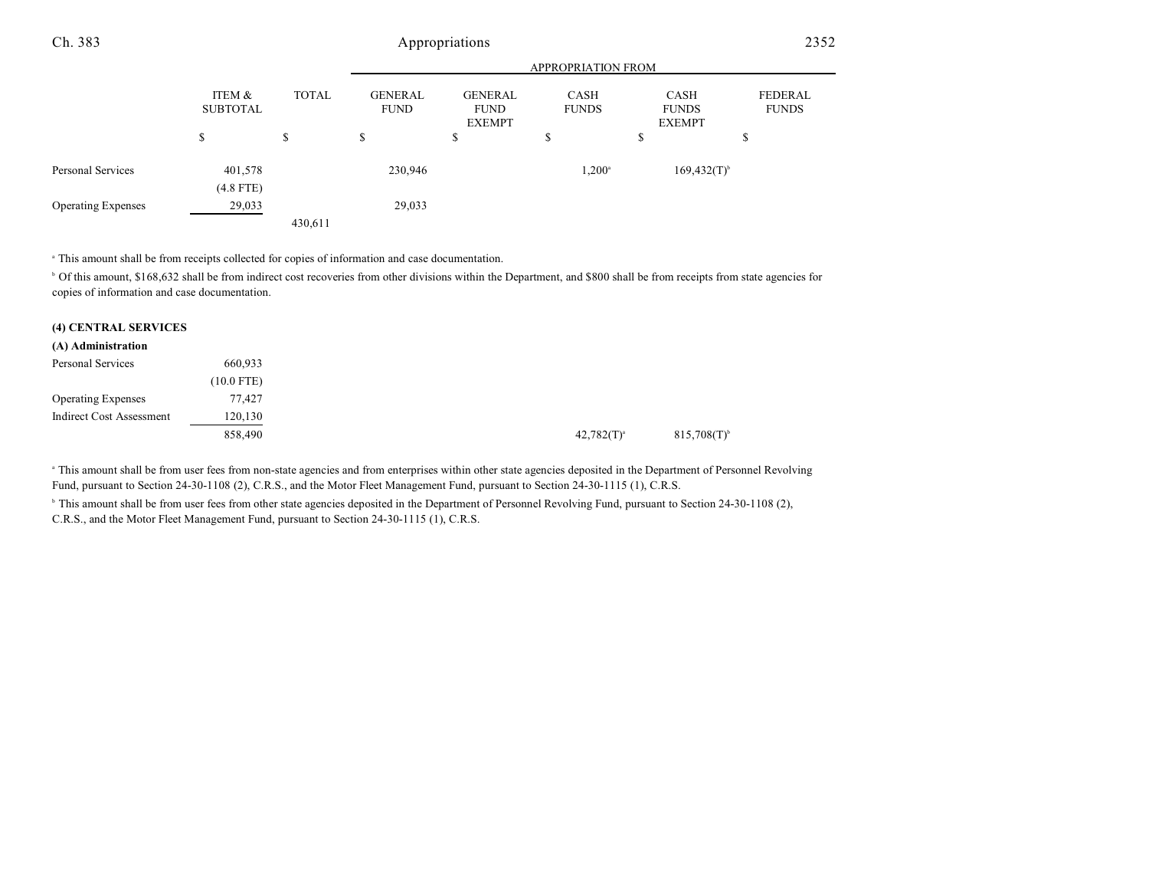|                           |                           |              | <b>APPROPRIATION FROM</b>     |                                                |                      |                                       |                         |  |
|---------------------------|---------------------------|--------------|-------------------------------|------------------------------------------------|----------------------|---------------------------------------|-------------------------|--|
|                           | ITEM &<br><b>SUBTOTAL</b> | <b>TOTAL</b> | <b>GENERAL</b><br><b>FUND</b> | <b>GENERAL</b><br><b>FUND</b><br><b>EXEMPT</b> | CASH<br><b>FUNDS</b> | CASH<br><b>FUNDS</b><br><b>EXEMPT</b> | FEDERAL<br><b>FUNDS</b> |  |
|                           | \$                        | \$           | \$                            | S                                              | S                    | S                                     | \$                      |  |
| Personal Services         | 401,578<br>$(4.8$ FTE)    |              | 230,946                       |                                                | $1,200^{\circ}$      | $169,432(T)$ <sup>b</sup>             |                         |  |
| <b>Operating Expenses</b> | 29,033                    |              | 29,033                        |                                                |                      |                                       |                         |  |
|                           |                           | 430,611      |                               |                                                |                      |                                       |                         |  |

<sup>a</sup> This amount shall be from receipts collected for copies of information and case documentation.

<sup>b</sup> Of this amount, \$168,632 shall be from indirect cost recoveries from other divisions within the Department, and \$800 shall be from receipts from state agencies for copies of information and case documentation.

| (4) CENTRAL SERVICES            |            |                 |                |
|---------------------------------|------------|-----------------|----------------|
| (A) Administration              |            |                 |                |
| Personal Services               | 660,933    |                 |                |
|                                 | (10.0 FTE) |                 |                |
| <b>Operating Expenses</b>       | 77.427     |                 |                |
| <b>Indirect Cost Assessment</b> | 120,130    |                 |                |
|                                 | 858,490    | $42,782(T)^{a}$ | $815,708(T)^t$ |

<sup>a</sup> This amount shall be from user fees from non-state agencies and from enterprises within other state agencies deposited in the Department of Personnel Revolving Fund, pursuant to Section 24-30-1108 (2), C.R.S., and the Motor Fleet Management Fund, pursuant to Section 24-30-1115 (1), C.R.S.

<sup>b</sup> This amount shall be from user fees from other state agencies deposited in the Department of Personnel Revolving Fund, pursuant to Section 24-30-1108 (2), C.R.S., and the Motor Fleet Management Fund, pursuant to Section 24-30-1115 (1), C.R.S.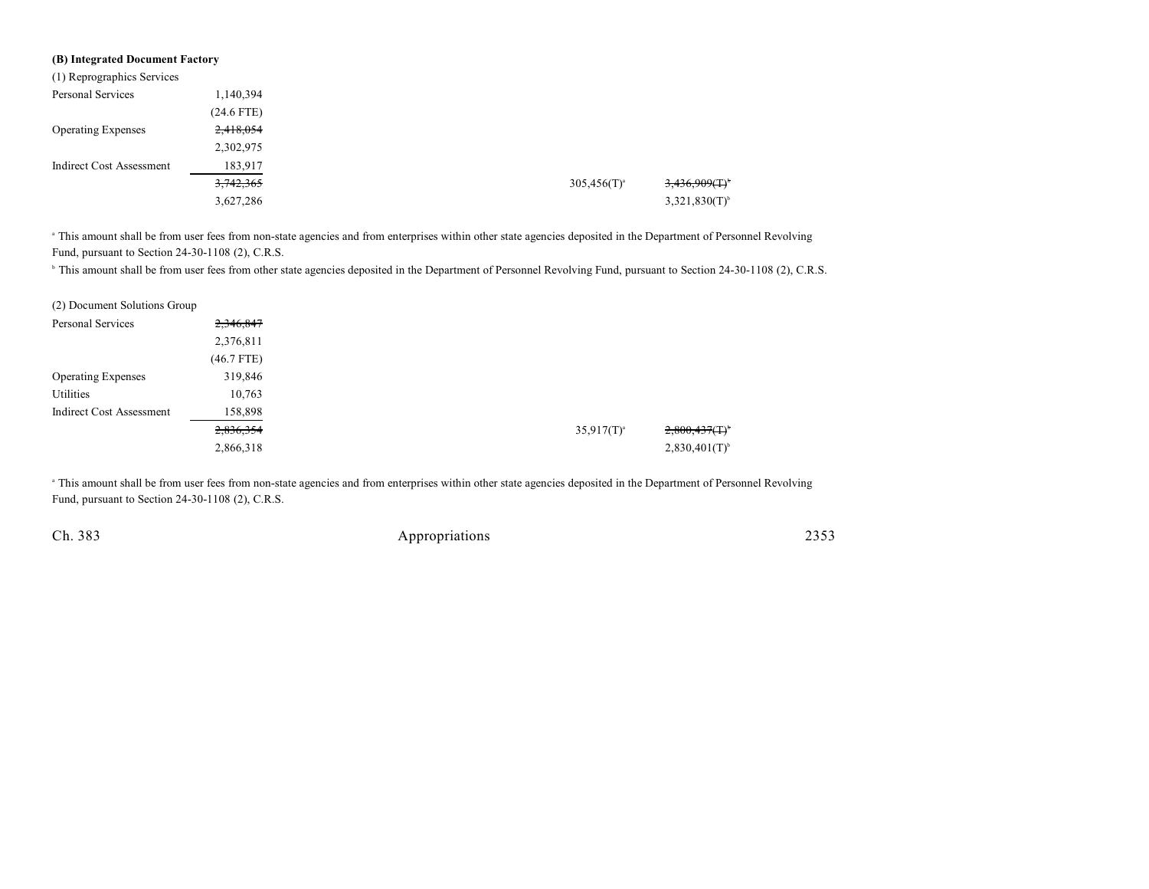| (B) Integrated Document Factory |              |                  |                              |
|---------------------------------|--------------|------------------|------------------------------|
| (1) Reprographics Services      |              |                  |                              |
| Personal Services               | 1,140,394    |                  |                              |
|                                 | $(24.6$ FTE) |                  |                              |
| <b>Operating Expenses</b>       | 2,418,054    |                  |                              |
|                                 | 2,302,975    |                  |                              |
| <b>Indirect Cost Assessment</b> | 183,917      |                  |                              |
|                                 | 3,742,365    | $305,456(T)^{a}$ | $3,436,909($ T) <sup>t</sup> |
|                                 | 3,627,286    |                  | $3,321,830(T)$ <sup>b</sup>  |

<sup>a</sup> This amount shall be from user fees from non-state agencies and from enterprises within other state agencies deposited in the Department of Personnel Revolving Fund, pursuant to Section 24-30-1108 (2), C.R.S.

<sup>b</sup> This amount shall be from user fees from other state agencies deposited in the Department of Personnel Revolving Fund, pursuant to Section 24-30-1108 (2), C.R.S.

| (2) Document Solutions Group    |              |
|---------------------------------|--------------|
| Personal Services               | 2,346,847    |
|                                 | 2,376,811    |
|                                 | $(46.7$ FTE) |
| <b>Operating Expenses</b>       | 319,846      |
| Utilities                       | 10,763       |
| <b>Indirect Cost Assessment</b> | 158,898      |
|                                 | 2,836,354    |
|                                 | 2,866,318    |

<sup>a</sup> This amount shall be from user fees from non-state agencies and from enterprises within other state agencies deposited in the Department of Personnel Revolving Fund, pursuant to Section 24-30-1108 (2), C.R.S.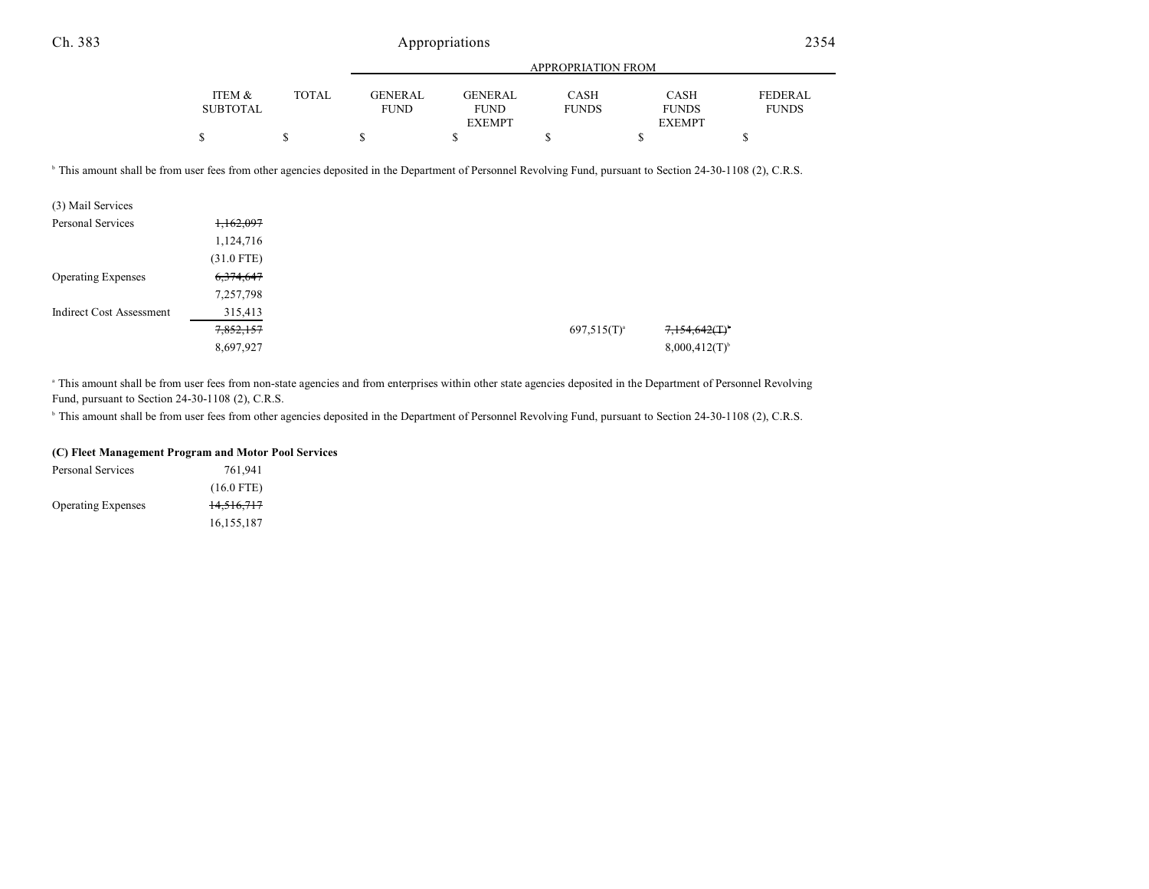|                 |              |             |                | <b>APPROPRIATION FROM</b> |               |                |
|-----------------|--------------|-------------|----------------|---------------------------|---------------|----------------|
|                 |              |             |                |                           |               |                |
| ITEM &          | <b>TOTAL</b> | GENER AL    | <b>GENERAL</b> | CASH                      | <b>CASH</b>   | <b>FEDERAL</b> |
| <b>SUBTOTAL</b> |              | <b>FUND</b> | <b>FUND</b>    | <b>FUNDS</b>              | <b>FUNDS</b>  | <b>FUNDS</b>   |
|                 |              |             | <b>EXEMPT</b>  |                           | <b>EXEMPT</b> |                |
|                 |              |             |                |                           |               |                |

<sup>b</sup> This amount shall be from user fees from other agencies deposited in the Department of Personnel Revolving Fund, pursuant to Section 24-30-1108 (2), C.R.S.

| (3) Mail Services               |              |  |                  |                              |
|---------------------------------|--------------|--|------------------|------------------------------|
| Personal Services               | 1,162,097    |  |                  |                              |
|                                 | 1,124,716    |  |                  |                              |
|                                 | $(31.0$ FTE) |  |                  |                              |
| <b>Operating Expenses</b>       | 6,374,647    |  |                  |                              |
|                                 | 7,257,798    |  |                  |                              |
| <b>Indirect Cost Assessment</b> | 315,413      |  |                  |                              |
|                                 | 7,852,157    |  | $697,515(T)^{a}$ | $7.154,642($ T) <sup>*</sup> |
|                                 | 8,697,927    |  |                  | $8,000,412(T)^{6}$           |

<sup>a</sup> This amount shall be from user fees from non-state agencies and from enterprises within other state agencies deposited in the Department of Personnel Revolving Fund, pursuant to Section 24-30-1108 (2), C.R.S.

<sup>b</sup> This amount shall be from user fees from other agencies deposited in the Department of Personnel Revolving Fund, pursuant to Section 24-30-1108 (2), C.R.S.

#### **(C) Fleet Management Program and Motor Pool Services**

| Personal Services         | 761.941      |
|---------------------------|--------------|
|                           | $(16.0$ FTE) |
| <b>Operating Expenses</b> | 14,516,717   |
|                           | 16, 155, 187 |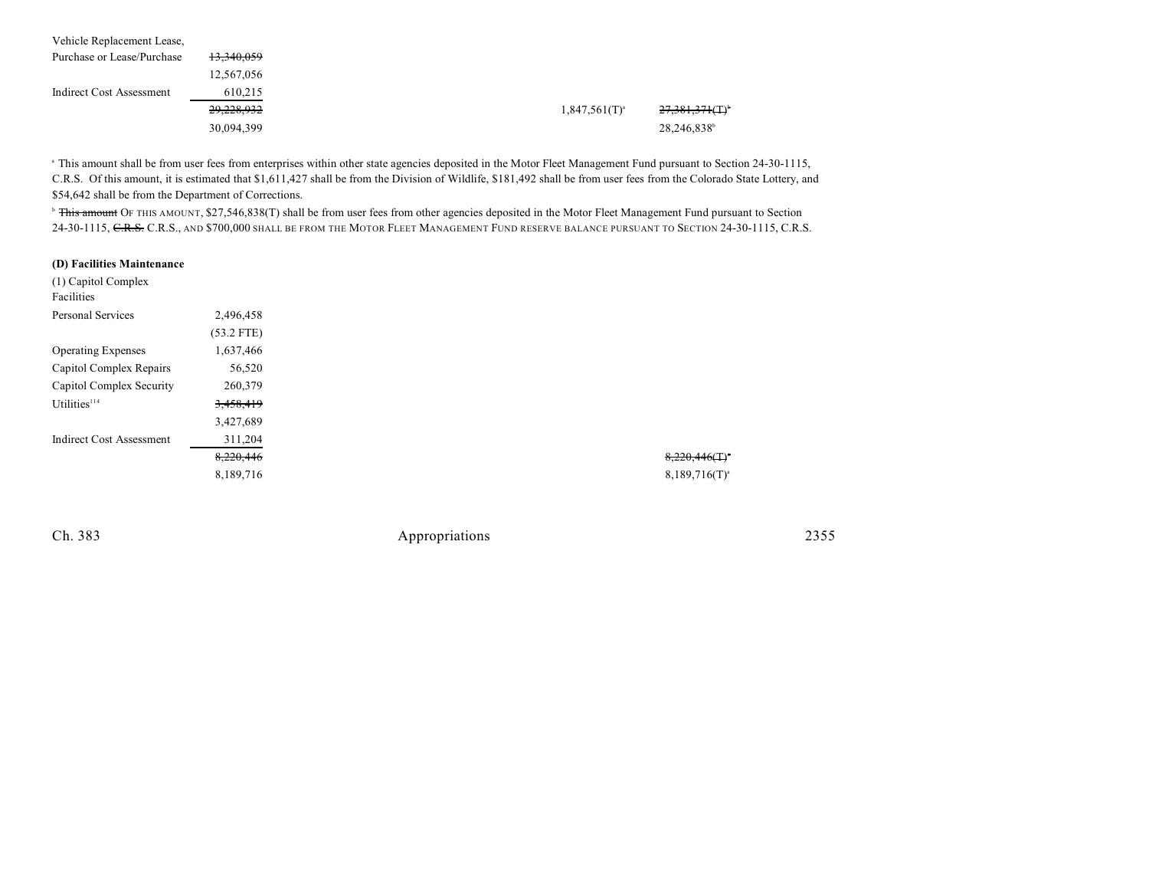| Vehicle Replacement Lease, |                       |                  |                            |
|----------------------------|-----------------------|------------------|----------------------------|
| Purchase or Lease/Purchase | <del>13,340,059</del> |                  |                            |
|                            | 12,567,056            |                  |                            |
| Indirect Cost Assessment   | 610,215               |                  |                            |
|                            | 29,228,932            | $1,847,561(T)^4$ | 27,381,371(T) <sup>b</sup> |
|                            | 30,094,399            |                  | 28,246,838                 |

<sup>a</sup> This amount shall be from user fees from enterprises within other state agencies deposited in the Motor Fleet Management Fund pursuant to Section 24-30-1115, C.R.S. Of this amount, it is estimated that \$1,611,427 shall be from the Division of Wildlife, \$181,492 shall be from user fees from the Colorado State Lottery, and \$54,642 shall be from the Department of Corrections.

<sup>b</sup> This amount OF THIS AMOUNT, \$27,546,838(T) shall be from user fees from other agencies deposited in the Motor Fleet Management Fund pursuant to Section 24-30-1115, C.R.S., C.R.S., AND \$700,000 SHALL BE FROM THE MOTOR FLEET MANAGEMENT FUND RESERVE BALANCE PURSUANT TO SECTION 24-30-1115, C.R.S.

#### **(D) Facilities Maintenance**

| (1) Capitol Complex             |              |
|---------------------------------|--------------|
| Facilities                      |              |
| Personal Services               | 2,496,458    |
|                                 | $(53.2$ FTE) |
| <b>Operating Expenses</b>       | 1,637,466    |
| Capitol Complex Repairs         | 56,520       |
| Capitol Complex Security        | 260,379      |
| Utilities <sup>114</sup>        | 3,458,419    |
|                                 | 3,427,689    |
| <b>Indirect Cost Assessment</b> | 311,204      |
|                                 | 8,220,446    |
|                                 | 8,189,716    |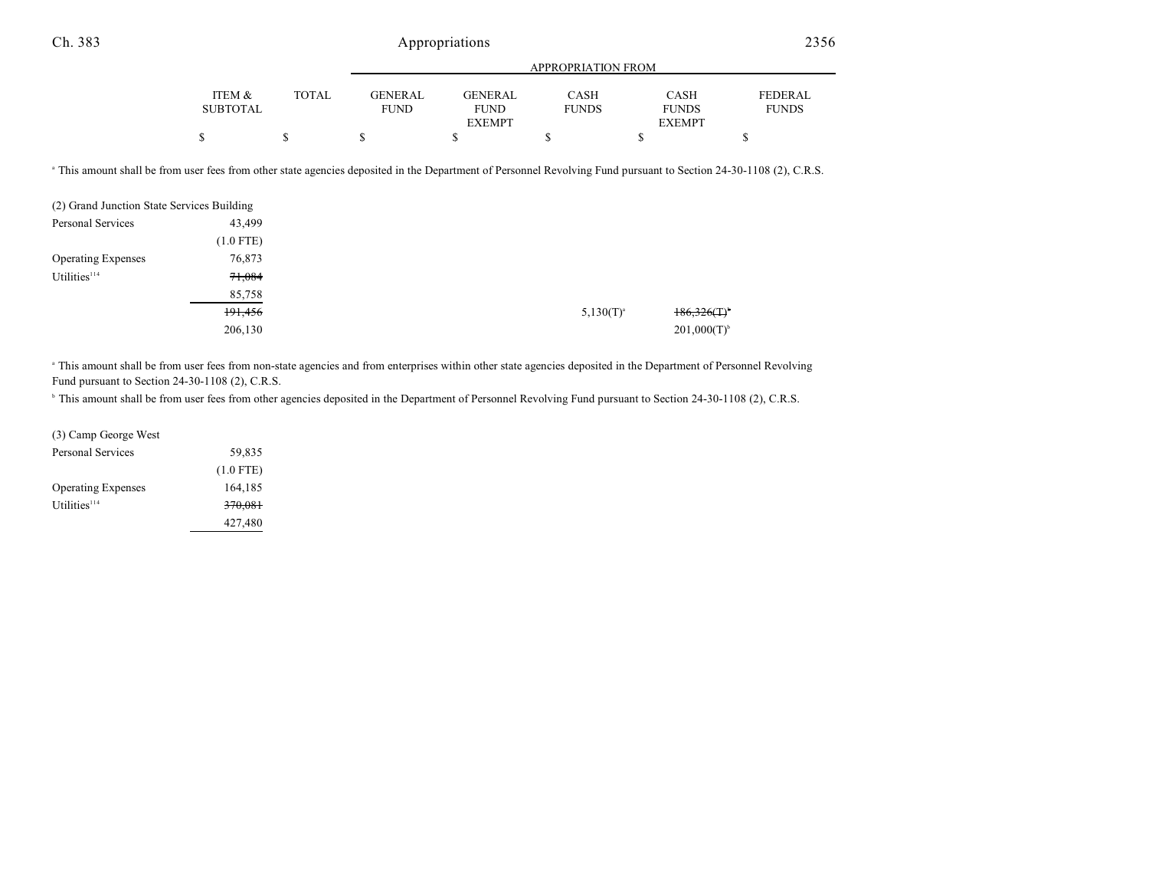|                 |       | APPROPRIATION FROM |                |              |               |                |
|-----------------|-------|--------------------|----------------|--------------|---------------|----------------|
|                 |       |                    |                |              |               |                |
| ITEM &          | TOTAL | GENER AL.          | <b>GENERAL</b> | <b>CASH</b>  | <b>CASH</b>   | <b>FEDERAL</b> |
| <b>SUBTOTAL</b> |       | <b>FUND</b>        | <b>FUND</b>    | <b>FUNDS</b> | <b>FUNDS</b>  | <b>FUNDS</b>   |
|                 |       |                    | <b>EXEMPT</b>  |              | <b>EXEMPT</b> |                |
| \$              |       |                    |                |              |               |                |

<sup>a</sup> This amount shall be from user fees from other state agencies deposited in the Department of Personnel Revolving Fund pursuant to Section 24-30-1108 (2), C.R.S.

|                           | (2) Grand Junction State Services Building |
|---------------------------|--------------------------------------------|
| Personal Services         | 43,499                                     |
|                           | $(1.0$ FTE)                                |
| <b>Operating Expenses</b> | 76,873                                     |
| Utilities <sup>114</sup>  | 71,084                                     |
|                           | 85,758                                     |
|                           | 191,456                                    |
|                           | 206,130                                    |

<sup>a</sup> This amount shall be from user fees from non-state agencies and from enterprises within other state agencies deposited in the Department of Personnel Revolving Fund pursuant to Section 24-30-1108 (2), C.R.S.

<sup>b</sup> This amount shall be from user fees from other agencies deposited in the Department of Personnel Revolving Fund pursuant to Section 24-30-1108 (2), C.R.S.

| (3) Camp George West      |             |
|---------------------------|-------------|
| Personal Services         | 59,835      |
|                           | $(1.0$ FTE) |
| <b>Operating Expenses</b> | 164,185     |
| Utilities <sup>114</sup>  | 370,081     |
|                           | 427,480     |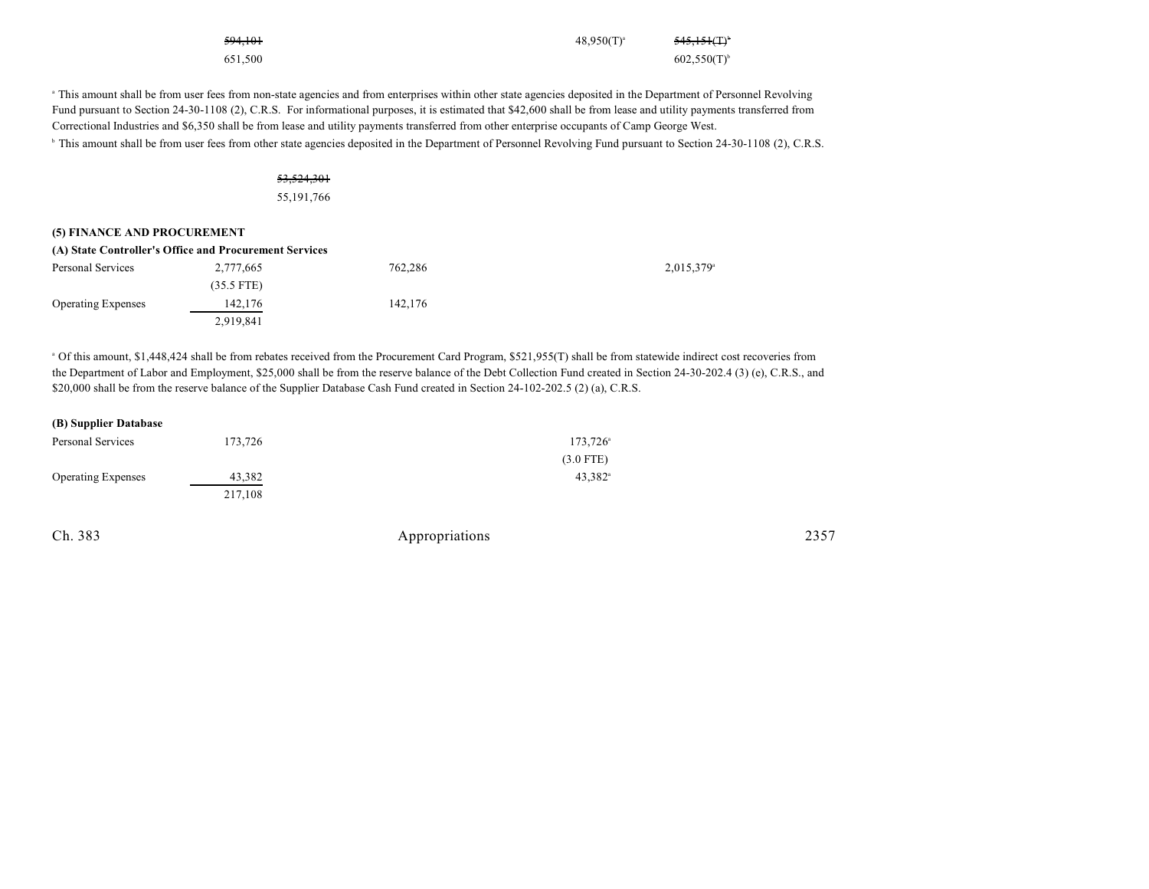| 594.101 | $48,950(T)^{3}$ | <del>545,151(T)</del> <sup>b</sup> |
|---------|-----------------|------------------------------------|
| 651.500 |                 | $602,550(T)^{b}$                   |

<sup>a</sup> This amount shall be from user fees from non-state agencies and from enterprises within other state agencies deposited in the Department of Personnel Revolving Fund pursuant to Section 24-30-1108 (2), C.R.S. For informational purposes, it is estimated that \$42,600 shall be from lease and utility payments transferred from Correctional Industries and \$6,350 shall be from lease and utility payments transferred from other enterprise occupants of Camp George West.

<sup>b</sup> This amount shall be from user fees from other state agencies deposited in the Department of Personnel Revolving Fund pursuant to Section 24-30-1108 (2), C.R.S.

#### 53,524,301

55,191,766

#### **(5) FINANCE AND PROCUREMENT**

| (A) State Controller's Office and Procurement Services |              |         |                          |  |  |  |
|--------------------------------------------------------|--------------|---------|--------------------------|--|--|--|
| Personal Services                                      | 2,777,665    | 762.286 | $2,015,379$ <sup>a</sup> |  |  |  |
|                                                        | $(35.5$ FTE) |         |                          |  |  |  |
| <b>Operating Expenses</b>                              | 142.176      | 142,176 |                          |  |  |  |
|                                                        | 2,919,841    |         |                          |  |  |  |

<sup>a</sup> Of this amount, \$1,448,424 shall be from rebates received from the Procurement Card Program, \$521,955(T) shall be from statewide indirect cost recoveries from the Department of Labor and Employment, \$25,000 shall be from the reserve balance of the Debt Collection Fund created in Section 24-30-202.4 (3) (e), C.R.S., and \$20,000 shall be from the reserve balance of the Supplier Database Cash Fund created in Section 24-102-202.5 (2) (a), C.R.S.

#### **(B) Supplier Database**

| Personal Services         | 173.726 | 173,726 <sup>a</sup>  |
|---------------------------|---------|-----------------------|
|                           |         | $(3.0$ FTE)           |
| <b>Operating Expenses</b> | 43.382  | $43.382$ <sup>a</sup> |
|                           | 217.108 |                       |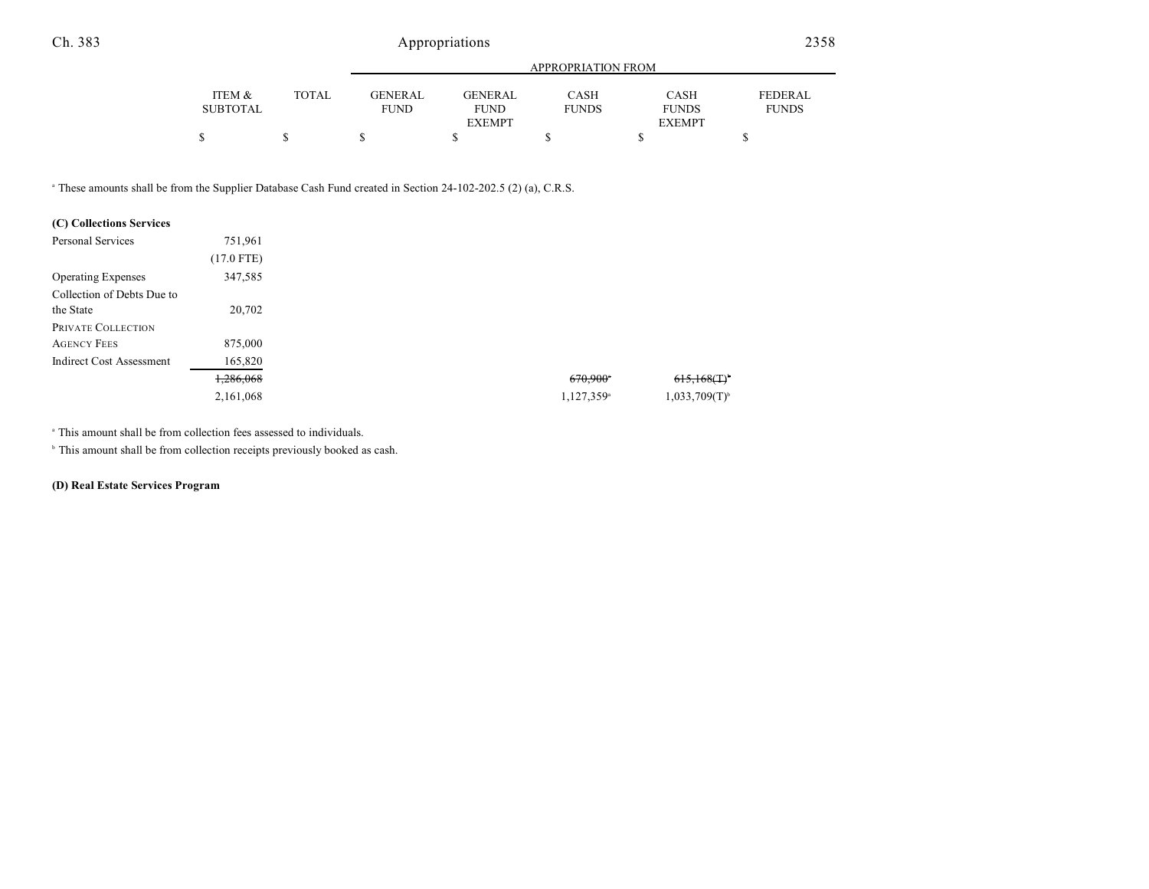|                 | APPROPRIATION FROM |                |                |              |               |                |  |
|-----------------|--------------------|----------------|----------------|--------------|---------------|----------------|--|
| ITEM &          | TOTAL.             | <b>GENERAL</b> | <b>GENERAL</b> | CASH         | CASH          | <b>FEDERAL</b> |  |
| <b>SUBTOTAL</b> |                    | <b>FUND</b>    | <b>FUND</b>    | <b>FUNDS</b> | <b>FUNDS</b>  | <b>FUNDS</b>   |  |
|                 |                    |                | <b>EXEMPT</b>  |              | <b>EXEMPT</b> |                |  |
| ¢               |                    |                |                |              |               |                |  |

<sup>a</sup> These amounts shall be from the Supplier Database Cash Fund created in Section 24-102-202.5 (2) (a), C.R.S.

### **(C) Collections Services**

| Personal Services               | 751,961      |                        |                    |
|---------------------------------|--------------|------------------------|--------------------|
|                                 | $(17.0$ FTE) |                        |                    |
| <b>Operating Expenses</b>       | 347,585      |                        |                    |
| Collection of Debts Due to      |              |                        |                    |
| the State                       | 20,702       |                        |                    |
| PRIVATE COLLECTION              |              |                        |                    |
| <b>AGENCY FEES</b>              | 875,000      |                        |                    |
| <b>Indirect Cost Assessment</b> | 165,820      |                        |                    |
|                                 | 1,286,068    | 670,900*               | 615,168(T)         |
|                                 | 2,161,068    | 1,127,359 <sup>a</sup> | $1,033,709(T)^{6}$ |

<sup>a</sup> This amount shall be from collection fees assessed to individuals.

 $\,^{\circ}$  This amount shall be from collection receipts previously booked as cash.

#### **(D) Real Estate Services Program**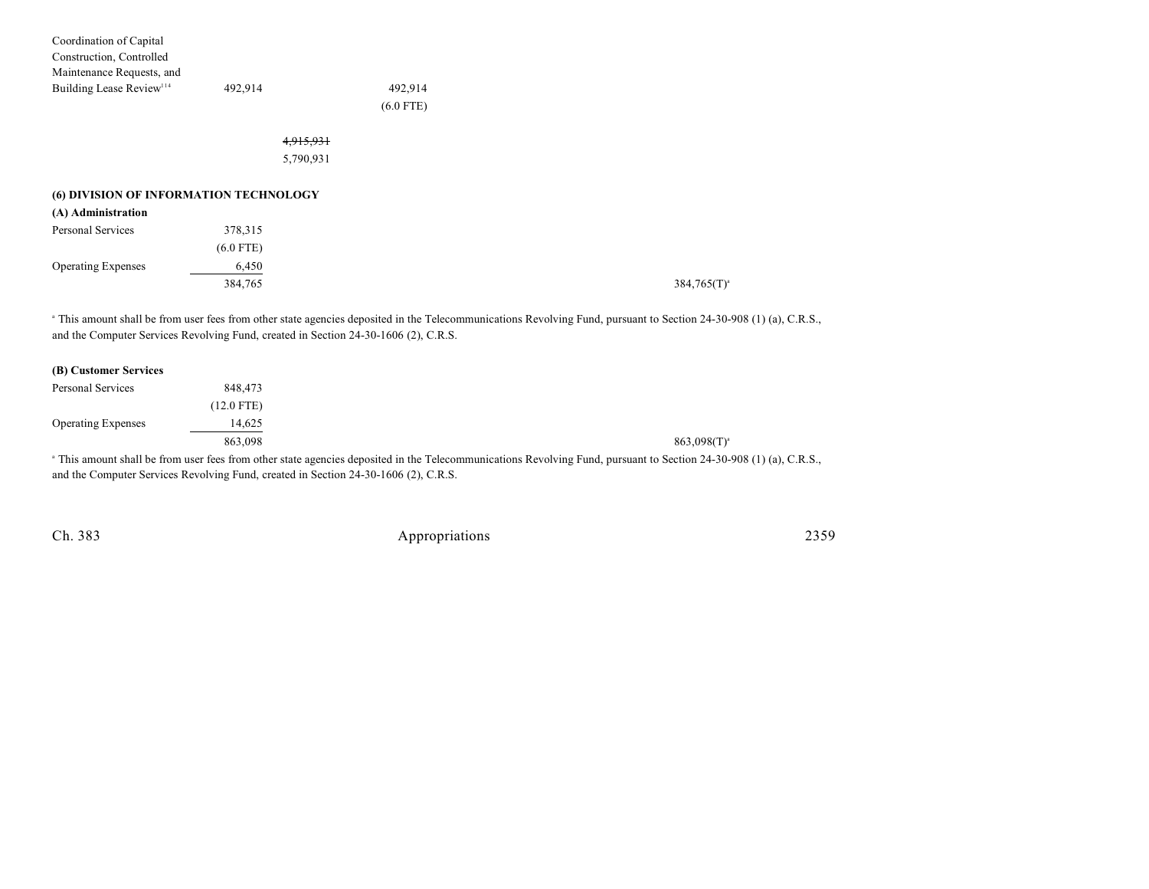| Coordination of Capital                |             |                                                                                     |                                                                                                                                                                               |
|----------------------------------------|-------------|-------------------------------------------------------------------------------------|-------------------------------------------------------------------------------------------------------------------------------------------------------------------------------|
| Construction, Controlled               |             |                                                                                     |                                                                                                                                                                               |
| Maintenance Requests, and              |             |                                                                                     |                                                                                                                                                                               |
| Building Lease Review <sup>114</sup>   | 492,914     | 492,914                                                                             |                                                                                                                                                                               |
|                                        |             | $(6.0$ FTE)                                                                         |                                                                                                                                                                               |
|                                        |             | 4,915,931                                                                           |                                                                                                                                                                               |
|                                        |             | 5,790,931                                                                           |                                                                                                                                                                               |
| (6) DIVISION OF INFORMATION TECHNOLOGY |             |                                                                                     |                                                                                                                                                                               |
| (A) Administration                     |             |                                                                                     |                                                                                                                                                                               |
| Personal Services                      | 378,315     |                                                                                     |                                                                                                                                                                               |
|                                        | $(6.0$ FTE) |                                                                                     |                                                                                                                                                                               |
| <b>Operating Expenses</b>              | 6,450       |                                                                                     |                                                                                                                                                                               |
|                                        | 384,765     |                                                                                     | $384,765(T)^{a}$                                                                                                                                                              |
|                                        |             | and the Computer Services Revolving Fund, created in Section 24-30-1606 (2), C.R.S. | <sup>a</sup> This amount shall be from user fees from other state agencies deposited in the Telecommunications Revolving Fund, pursuant to Section 24-30-908 (1) (a), C.R.S., |
| (B) Customer Services                  |             |                                                                                     |                                                                                                                                                                               |

| (B) Customer Services     |              |                                                                                                                                                                        |
|---------------------------|--------------|------------------------------------------------------------------------------------------------------------------------------------------------------------------------|
| Personal Services         | 848.473      |                                                                                                                                                                        |
|                           | $(12.0$ FTE) |                                                                                                                                                                        |
| <b>Operating Expenses</b> | 14.625       |                                                                                                                                                                        |
|                           | 863,098      | $863.098(T)^{a}$                                                                                                                                                       |
|                           |              | <sup>a</sup> This amount shall be from user fees from other state agencies deposited in the Telecommunications Revolving Fund, pursuant to Section 24-30-908 (1) (a) C |

This amount shall be from user fees from other state agencies deposited in the Telecommunications Revolving Fund, pursuant to Section 24-30-908 (1) (a), C.R.S., and the Computer Services Revolving Fund, created in Section 24-30-1606 (2), C.R.S.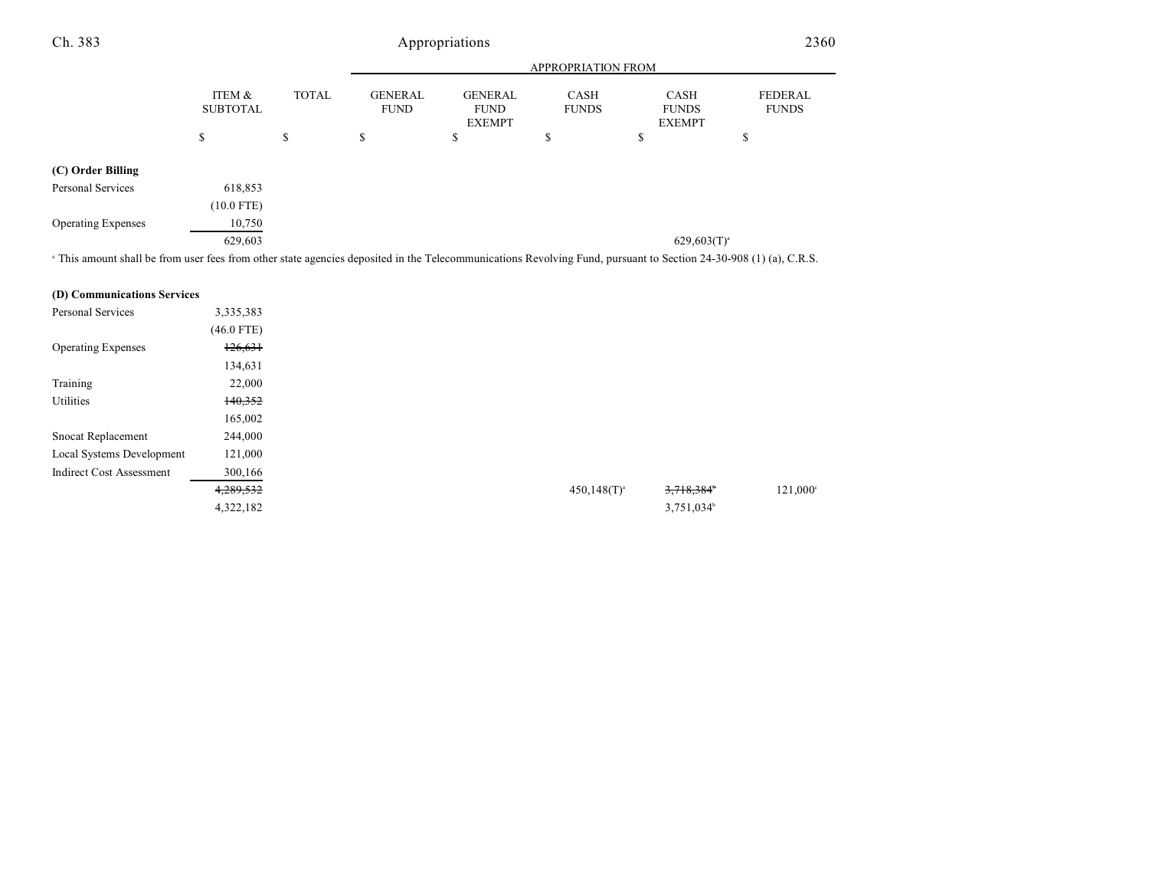|                                       |                            |              | <b>APPROPRIATION FROM</b>                                             |                                                                                 |   |                                                                                                        |   |  |
|---------------------------------------|----------------------------|--------------|-----------------------------------------------------------------------|---------------------------------------------------------------------------------|---|--------------------------------------------------------------------------------------------------------|---|--|
|                                       | ITEM &<br><b>SUBTOTAL</b>  | <b>TOTAL</b> |                                                                       | <b>GENERAL</b><br><b>GENERAL</b><br><b>FUND</b><br><b>FUND</b><br><b>EXEMPT</b> |   | FEDERAL<br><b>CASH</b><br><b>CASH</b><br><b>FUNDS</b><br><b>FUNDS</b><br><b>FUNDS</b><br><b>EXEMPT</b> |   |  |
|                                       | \$                         | \$           | \$                                                                    | Φ                                                                               | ъ | \$                                                                                                     | Φ |  |
| (C) Order Billing                     |                            |              |                                                                       |                                                                                 |   |                                                                                                        |   |  |
| Personal Services                     | 618,853                    |              |                                                                       |                                                                                 |   |                                                                                                        |   |  |
|                                       | $(10.0$ FTE)               |              |                                                                       |                                                                                 |   |                                                                                                        |   |  |
| <b>Operating Expenses</b>             | 10,750                     |              |                                                                       |                                                                                 |   |                                                                                                        |   |  |
|                                       | 629,603                    |              |                                                                       |                                                                                 |   | $629,603(T)^{a}$                                                                                       |   |  |
| $   -$<br>$\sim$ $\sim$ $\sim$ $\sim$ | $\alpha$ $\alpha$ $\alpha$ |              | $\mathbf{r}$ , and $\mathbf{r}$ , and $\mathbf{r}$ , and $\mathbf{r}$ |                                                                                 | . |                                                                                                        |   |  |

<sup>a</sup> This amount shall be from user fees from other state agencies deposited in the Telecommunications Revolving Fund, pursuant to Section 24-30-908 (1) (a), C.R.S.

#### **(D) Communications Services**

| Personal Services               | 3,335,383    |
|---------------------------------|--------------|
|                                 | $(46.0$ FTE) |
| <b>Operating Expenses</b>       | 126,631      |
|                                 | 134,631      |
| Training                        | 22,000       |
| Utilities                       | 140,352      |
|                                 | 165,002      |
| <b>Snocat Replacement</b>       | 244,000      |
| Local Systems Development       | 121,000      |
| <b>Indirect Cost Assessment</b> | 300,166      |
|                                 | 4,289,532    |
|                                 | 4,322,182    |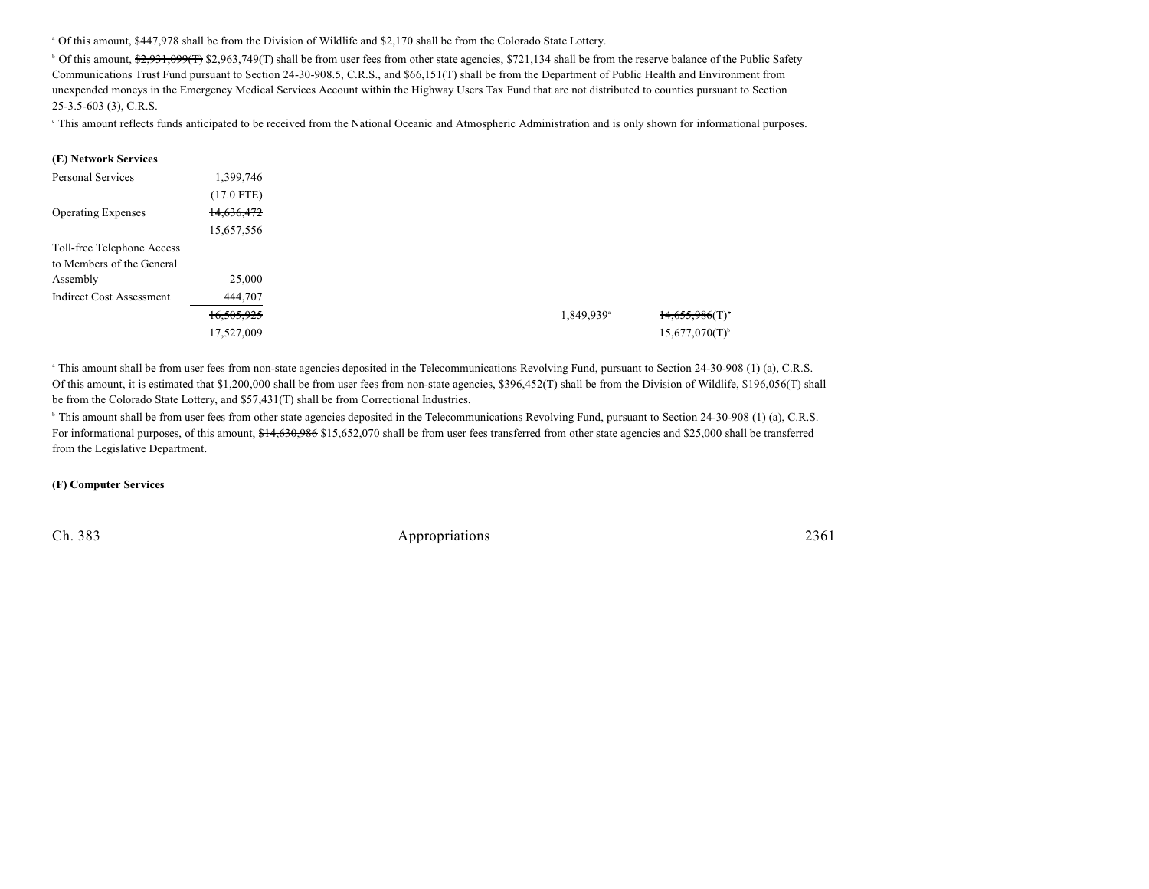<sup>a</sup> Of this amount, \$447,978 shall be from the Division of Wildlife and \$2,170 shall be from the Colorado State Lottery.

<sup>b</sup> Of this amount, \$2,931,099(T) \$2,963,749(T) shall be from user fees from other state agencies, \$721,134 shall be from the reserve balance of the Public Safety Communications Trust Fund pursuant to Section 24-30-908.5, C.R.S., and \$66,151(T) shall be from the Department of Public Health and Environment from unexpended moneys in the Emergency Medical Services Account within the Highway Users Tax Fund that are not distributed to counties pursuant to Section 25-3.5-603 (3), C.R.S.

<sup>e</sup> This amount reflects funds anticipated to be received from the National Oceanic and Atmospheric Administration and is only shown for informational purposes.

#### **(E) Network Services**

| Personal Services               | 1,399,746    |                        |                               |
|---------------------------------|--------------|------------------------|-------------------------------|
|                                 | $(17.0$ FTE) |                        |                               |
| <b>Operating Expenses</b>       | 14,636,472   |                        |                               |
|                                 | 15,657,556   |                        |                               |
| Toll-free Telephone Access      |              |                        |                               |
| to Members of the General       |              |                        |                               |
| Assembly                        | 25,000       |                        |                               |
| <b>Indirect Cost Assessment</b> | 444,707      |                        |                               |
|                                 | 16,505,925   | 1,849,939 <sup>a</sup> | $14,655,986($ T) <sup>+</sup> |
|                                 | 17,527,009   |                        | 15,677,070(T)                 |

<sup>a</sup> This amount shall be from user fees from non-state agencies deposited in the Telecommunications Revolving Fund, pursuant to Section 24-30-908 (1) (a), C.R.S. Of this amount, it is estimated that \$1,200,000 shall be from user fees from non-state agencies, \$396,452(T) shall be from the Division of Wildlife, \$196,056(T) shall be from the Colorado State Lottery, and \$57,431(T) shall be from Correctional Industries.

<sup>b</sup> This amount shall be from user fees from other state agencies deposited in the Telecommunications Revolving Fund, pursuant to Section 24-30-908 (1) (a), C.R.S. For informational purposes, of this amount, \$14,630,986 \$15,652,070 shall be from user fees transferred from other state agencies and \$25,000 shall be transferred from the Legislative Department.

#### **(F) Computer Services**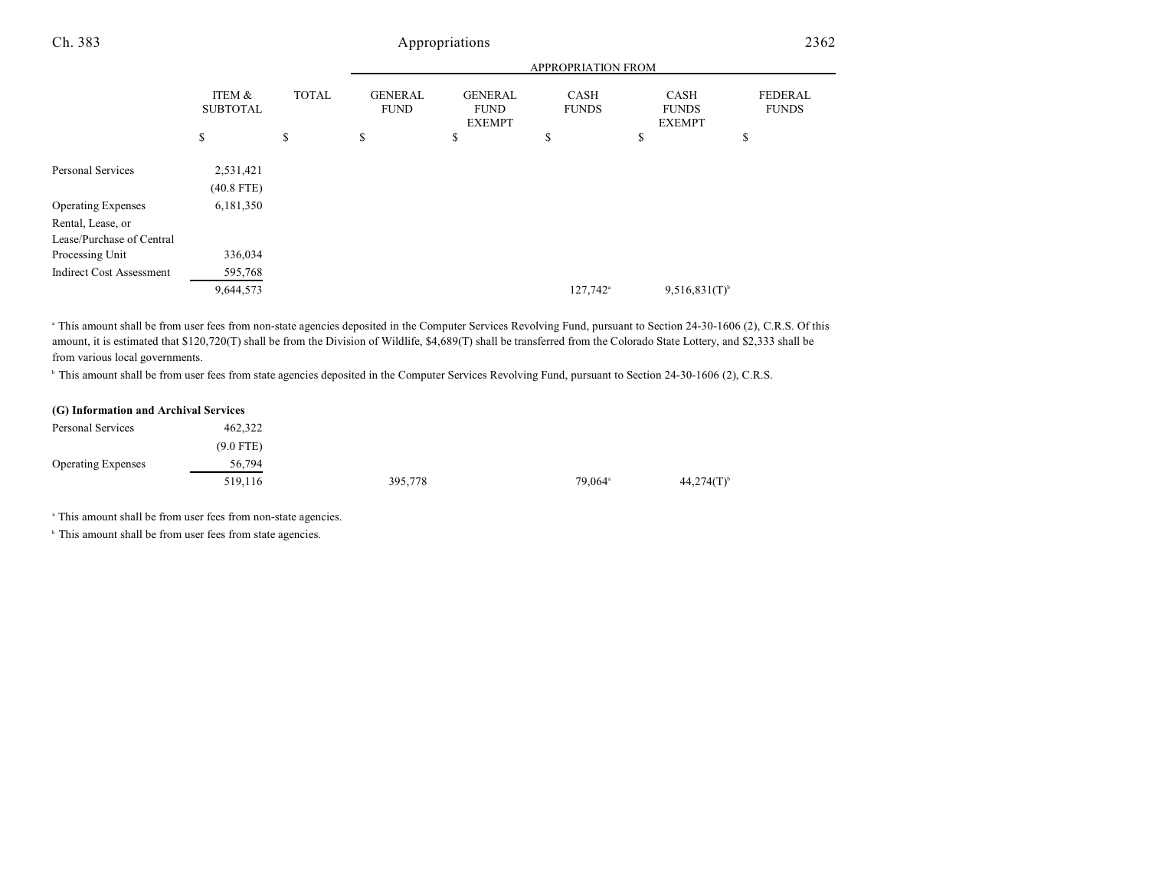|                                                |                           | <b>APPROPRIATION FROM</b> |                               |                                                |                      |                                       |                                |
|------------------------------------------------|---------------------------|---------------------------|-------------------------------|------------------------------------------------|----------------------|---------------------------------------|--------------------------------|
|                                                | ITEM &<br><b>SUBTOTAL</b> | <b>TOTAL</b>              | <b>GENERAL</b><br><b>FUND</b> | <b>GENERAL</b><br><b>FUND</b><br><b>EXEMPT</b> | CASH<br><b>FUNDS</b> | CASH<br><b>FUNDS</b><br><b>EXEMPT</b> | <b>FEDERAL</b><br><b>FUNDS</b> |
|                                                | \$                        | \$                        | \$                            | \$                                             | \$                   | \$                                    | \$                             |
| Personal Services                              | 2,531,421<br>$(40.8$ FTE) |                           |                               |                                                |                      |                                       |                                |
| <b>Operating Expenses</b>                      | 6,181,350                 |                           |                               |                                                |                      |                                       |                                |
| Rental, Lease, or<br>Lease/Purchase of Central |                           |                           |                               |                                                |                      |                                       |                                |
| Processing Unit                                | 336,034                   |                           |                               |                                                |                      |                                       |                                |
| <b>Indirect Cost Assessment</b>                | 595,768                   |                           |                               |                                                |                      |                                       |                                |
|                                                | 9,644,573                 |                           |                               |                                                | 127,742 <sup>a</sup> | $9,516,831(T)$ <sup>b</sup>           |                                |

<sup>a</sup> This amount shall be from user fees from non-state agencies deposited in the Computer Services Revolving Fund, pursuant to Section 24-30-1606 (2), C.R.S. Of this amount, it is estimated that \$120,720(T) shall be from the Division of Wildlife, \$4,689(T) shall be transferred from the Colorado State Lottery, and \$2,333 shall be from various local governments.

<sup>b</sup> This amount shall be from user fees from state agencies deposited in the Computer Services Revolving Fund, pursuant to Section 24-30-1606 (2), C.R.S.

### **(G) Information and Archival Services**

| Personal Services         | 462,322     |         |                     |                          |
|---------------------------|-------------|---------|---------------------|--------------------------|
|                           | $(9.0$ FTE) |         |                     |                          |
| <b>Operating Expenses</b> | 56,794      |         |                     |                          |
|                           | 519,116     | 395,778 | 79,064 <sup>a</sup> | $44,274(T)$ <sup>b</sup> |

<sup>a</sup> This amount shall be from user fees from non-state agencies.

<sup>b</sup> This amount shall be from user fees from state agencies.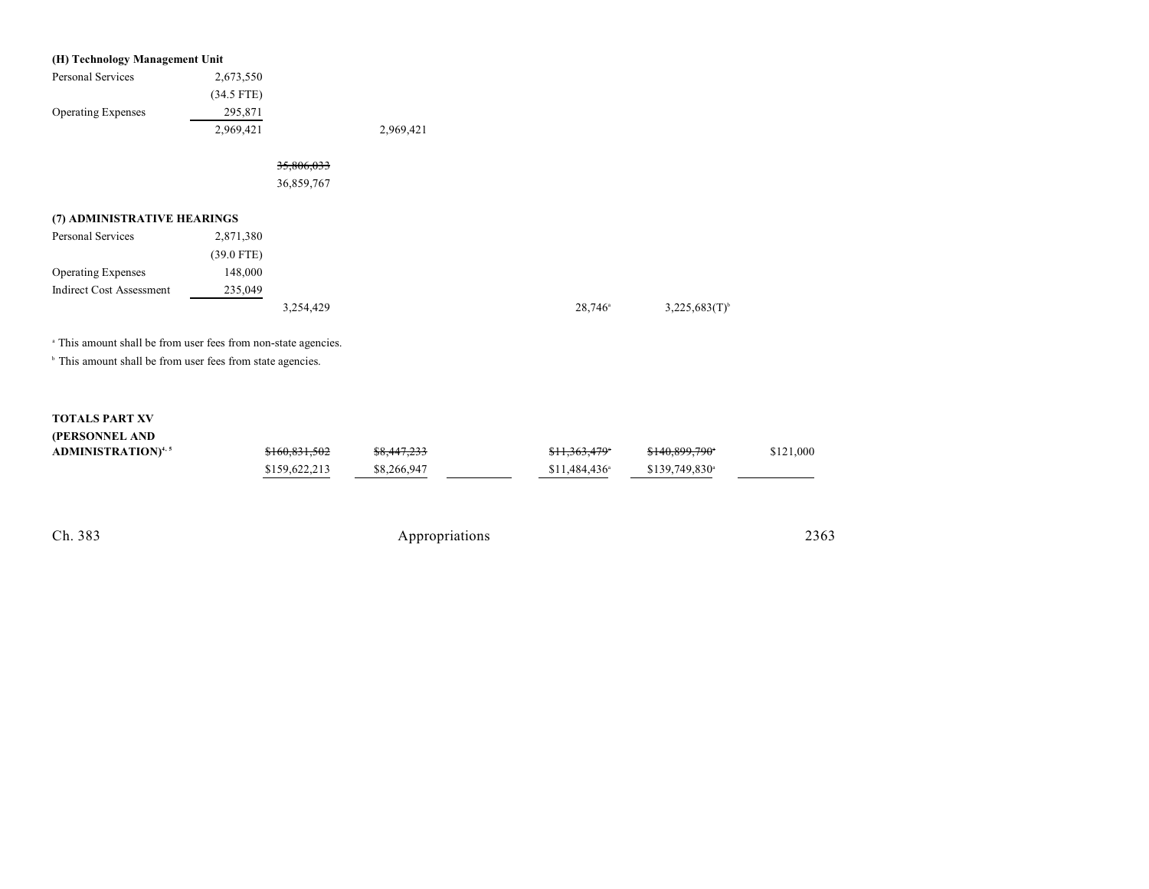| (H) Technology Management Unit                                            |              |            |           |                       |                    |
|---------------------------------------------------------------------------|--------------|------------|-----------|-----------------------|--------------------|
| Personal Services                                                         | 2,673,550    |            |           |                       |                    |
|                                                                           | $(34.5$ FTE) |            |           |                       |                    |
| <b>Operating Expenses</b>                                                 | 295,871      |            |           |                       |                    |
|                                                                           | 2,969,421    |            | 2,969,421 |                       |                    |
|                                                                           |              | 35,806,033 |           |                       |                    |
|                                                                           |              | 36,859,767 |           |                       |                    |
| (7) ADMINISTRATIVE HEARINGS                                               |              |            |           |                       |                    |
| Personal Services                                                         | 2,871,380    |            |           |                       |                    |
|                                                                           | $(39.0$ FTE) |            |           |                       |                    |
| <b>Operating Expenses</b>                                                 | 148,000      |            |           |                       |                    |
| <b>Indirect Cost Assessment</b>                                           | 235,049      |            |           |                       |                    |
|                                                                           |              | 3,254,429  |           | $28,746$ <sup>a</sup> | $3,225,683(T)^{b}$ |
| <sup>a</sup> This amount shall be from user fees from non-state agencies. |              |            |           |                       |                    |
| <sup>b</sup> This amount shall be from user fees from state agencies.     |              |            |           |                       |                    |

# **TOTALS PART XV**

| (PERSONNEL AND |
|----------------|
|----------------|

| <b>ADMINISTRATION</b> <sup>4, 5</sup> | \$160,831,502 | <del>\$8,447,233</del> | <del>\$11,363,479</del> *  | <del>\$140,899,790</del> *  | \$121,000 |
|---------------------------------------|---------------|------------------------|----------------------------|-----------------------------|-----------|
|                                       | \$159,622,213 | \$8,266,947            | $$11.484.436$ <sup>*</sup> | $$139.749.830$ <sup>a</sup> |           |